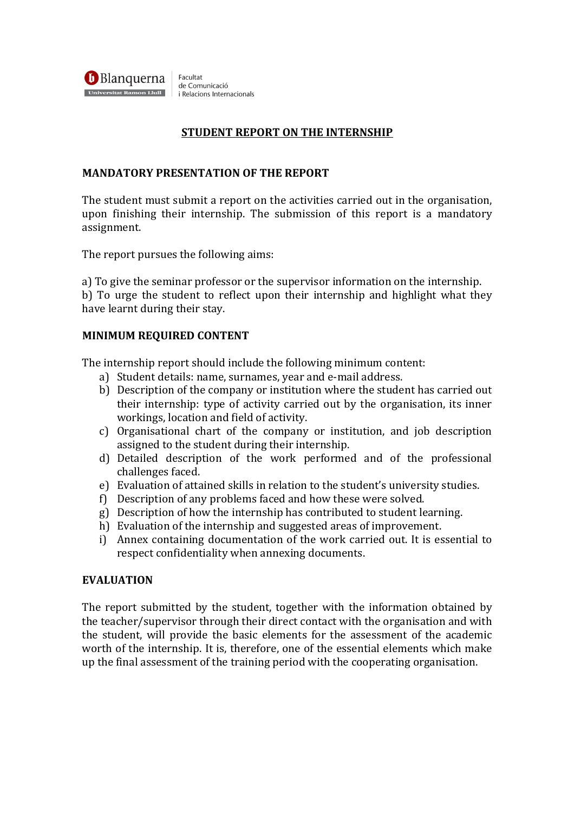**Blanquerna** Facultat de Comunicació Universitat Ramon Llull i Relacions Internacionals

# **STUDENT REPORT ON THE INTERNSHIP**

## **MANDATORY PRESENTATION OF THE REPORT**

The student must submit a report on the activities carried out in the organisation, upon finishing their internship. The submission of this report is a mandatory assignment. 

The report pursues the following aims:

a) To give the seminar professor or the supervisor information on the internship. b) To urge the student to reflect upon their internship and highlight what they have learnt during their stay.

### **MINIMUM REQUIRED CONTENT**

The internship report should include the following minimum content:

- a) Student details: name, surnames, year and e-mail address.
- b) Description of the company or institution where the student has carried out their internship: type of activity carried out by the organisation, its inner workings, location and field of activity.
- c) Organisational chart of the company or institution, and job description assigned to the student during their internship.
- d) Detailed description of the work performed and of the professional challenges faced.
- e) Evaluation of attained skills in relation to the student's university studies.
- f) Description of any problems faced and how these were solved.
- g) Description of how the internship has contributed to student learning.
- h) Evaluation of the internship and suggested areas of improvement.
- i) Annex containing documentation of the work carried out. It is essential to respect confidentiality when annexing documents.

#### **EVALUATION**

The report submitted by the student, together with the information obtained by the teacher/supervisor through their direct contact with the organisation and with the student, will provide the basic elements for the assessment of the academic worth of the internship. It is, therefore, one of the essential elements which make up the final assessment of the training period with the cooperating organisation.